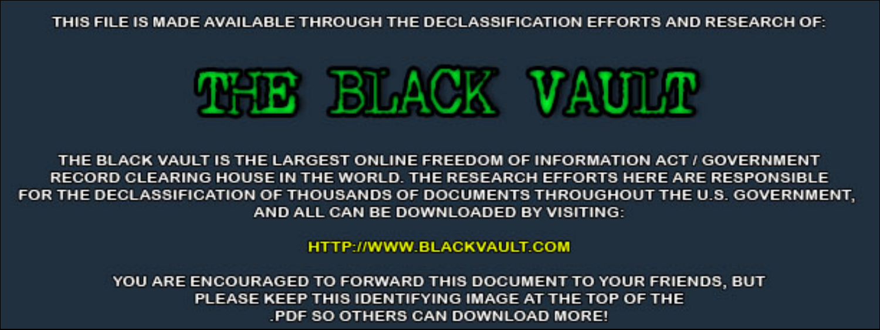THIS FILE IS MADE AVAILABLE THROUGH THE DECLASSIFICATION EFFORTS AND RESEARCH OF:



THE BLACK VAULT IS THE LARGEST ONLINE FREEDOM OF INFORMATION ACT / GOVERNMENT RECORD CLEARING HOUSE IN THE WORLD. THE RESEARCH EFFORTS HERE ARE RESPONSIBLE FOR THE DECLASSIFICATION OF THOUSANDS OF DOCUMENTS THROUGHOUT THE U.S. GOVERNMENT, AND ALL CAN BE DOWNLOADED BY VISITING:

**HTTP://WWW.BLACKVAULT.COM** 

YOU ARE ENCOURAGED TO FORWARD THIS DOCUMENT TO YOUR FRIENDS, BUT PLEASE KEEP THIS IDENTIFYING IMAGE AT THE TOP OF THE PDF SO OTHERS CAN DOWNLOAD MORE!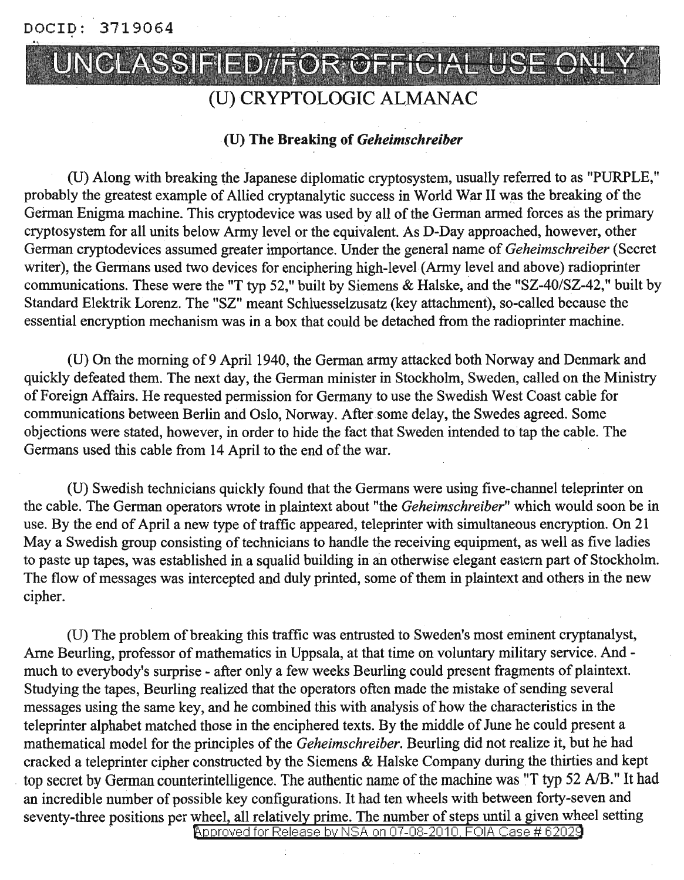DOCID: 3719064

# UNCLASSIFIED//FOR OFFICI/

## (U) CRYPTOLOGIC ALMANAC

#### (U) The Breaking of *Geheimschreiber*

(U) Along with breaking the Japanese diplomatic cryptosystem, usually referred to as "PURPLE," probably the greatest example of Allied cryptanalytic success in World War II was the breaking of the German Enigma machine. This cryptodevice was used by all of the German armed forces as the primary cryptosystem for all units below Army level or the equivalent. As D-Day approached, however, other German cryptodevices assumed greater importance. Under the general name of *Geheimschreiber* (Secret writer), the Germans used two devices for enciphering high-level(Army level and above) radioprinter communications. These were the "T typ 52," built by Siemens & Halske, and the *"SZ-40/SZ-42,"* built by Standard Elektrik Lorenz. The "SZ" meant Schluesselzusatz (key attachment), so-called because the essential encryption mechanism was in a box that could be detached from the radioprinter machine.

(U) On the morning of9 April 1940, the German army attacked both Norway and Denmark and quickly defeated them. The next day, the German minister in Stockholm, Sweden, called on the Ministry of Foreign Affairs. He requested permission for Germany to use the Swedish West Coast cable for communications between Berlin and Oslo, Norway. After some delay, the Swedes agreed. Some objections were stated, however, in order to hide the fact that Sweden intended to tap the cable. The Germans used this cable from 14 April to the end of the war.

(U) Swedish technicians quickly found that the Germans were using five-channel teleprinter on the cable. The German operators wrote in plaintext about "the *Geheimschreiber"* which would soon be in use. By the end of April a new type of traffic appeared, teleprinter with simultaneous encryption. On 21 May a Swedish group consisting of technicians to handle the receiving equipment, as well as five ladies to paste up tapes, was established in a squalid building in an otherwise elegant eastern part of Stockholm. The flow of messages was intercepted and duly printed, some of them in plaintext and others in the new cipher.

(U) The problem of breaking this traffic was entrusted to Sweden's most eminent cryptanalyst, Arne Beurling, professor of mathematics in Uppsala, at that time on voluntary military service. And much to everybody's surprise - after only a few weeks Beurling could present fragments of plaintext. Studying the tapes, Beurling realized that the operators often made the mistake of sending several messages using the same key, and he combined this with analysis of how the characteristics in the teleprinter alphabet matched those in the enciphered texts. By the middle of June he could present a mathematical model for the principles of the *Geheimschreiber*. Beurling did not realize it, but he had cracked a teleprinter cipher constructed by the Siemens & Halske Company during the thirties and kept top secret by German counterintelligence. The authentic name of the machine was "T typ 52 A/B." It had an incredible number of possible key configurations. It had ten wheels with between forty-seven and seventy-three positions per wheel, all relatively prime. The number of steps until a given wheel setting

Approved for Release by NSA on 07-08-2010, FOIA Case # 62029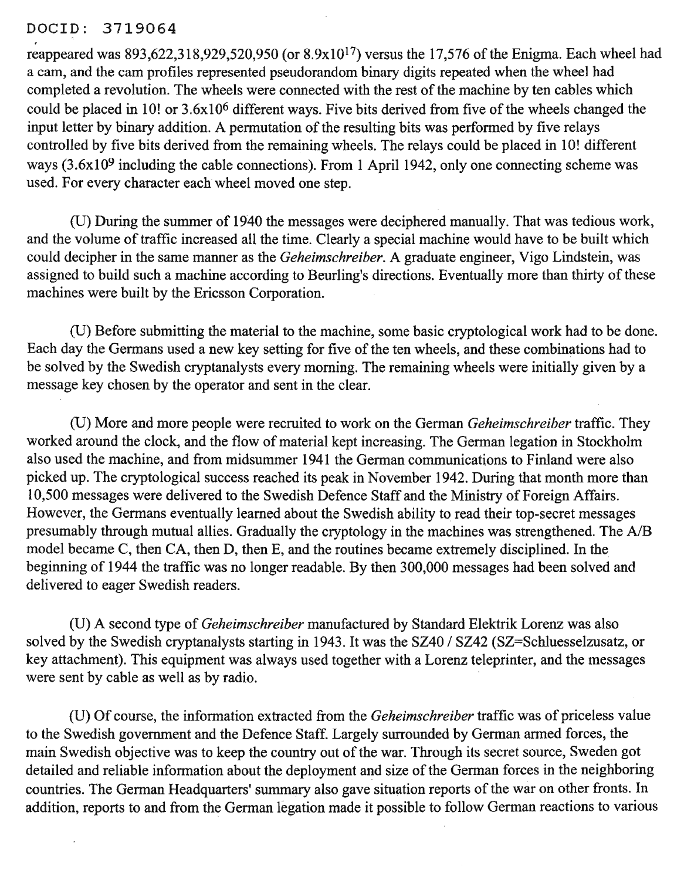#### DOCID: 3719064

reappeared was  $893,622,318,929,520,950$  (or  $8.9x10^{17}$ ) versus the 17,576 of the Enigma. Each wheel had a cam, and the cam profiles represented pseudorandom binary digits repeated when the wheel had completed a revolution. The wheels were connected with the rest of the machine by ten cables which could be placed in 10! or 3.6x10<sup>6</sup> different ways. Five bits derived from five of the wheels changed the input letter by binary addition. A permutation of the resulting bits was performed by five relays controlled by five bits derived from the remaining wheels. The relays could be placed in 10! different ways  $(3.6x10<sup>9</sup>$  including the cable connections). From 1 April 1942, only one connecting scheme was used. For every character each wheel moved one step.

(D) During the summer of 1940 the messages were deciphered manually. That was tedious work, and the volume of traffic increased all the time. Clearly a special machine would have to be built which could decipher in the same manner as the *Geheimschreiber.* A graduate engineer, Vigo Lindstein, was assigned to build such a machine according to Beurling's directions. Eventually more than thirty of these machines were built by the Ericsson Corporation.

(U) Before submitting the material to the machine, some basic cryptological work had to be done. Each day the Germans used a new key setting for five of the ten wheels, and these combinations had to be solved by the Swedish cryptanalysts every morning. The remaining wheels were initially given by a message key chosen by the operator and sent in the clear.

(U) More and more people were recruited to work on the German *Geheimschreiber* traffic. They worked around the clock, and the flow of material kept increasing. The German legation in Stockholm also used the machine, and from midsummer 1941 the German communications to Finland were also picked up. The cryptological success reached its peak in November 1942. During that month more than 10,500 messages were delivered to the Swedish Defence Staff and the Ministry of Foreign Affairs. However, the Germans eventually learned about the Swedish ability to read their top-secret messages presumably through mutual allies. Gradually the cryptology in the machines was strengthened. The A/B model became C, then CA, then D, then E, and the routines became extremely disciplined. In the beginning of 1944 the traffic was no longer readable. By then 300,000 messages had been solved and delivered to eager Swedish readers.

(D) A second type of *Geheimschreiber* manufactured by Standard Elektrik Lorenz was also solved by the Swedish cryptanalysts starting in 1943. It was the SZ40 / SZ42 (SZ=Schluesselzusatz, or key attachment). This equipment was always used together with a Lorenz teleprinter, and the messages were sent by cable as well as by radio.

(U) Of course, the information extracted from the *Geheimschreiber* traffic was of priceless value to the Swedish government and the Defence Staff. Largely surrounded by German armed forces, the main Swedish objective was to keep the country out of the war. Through its secret source, Sweden got detailed and reliable information about the deployment and size of the German forces in the neighboring countries. The German Headquarters' summary also gave situation reports of the war on other fronts. In addition, reports to and from the German legation made it possible to follow German reactions to various